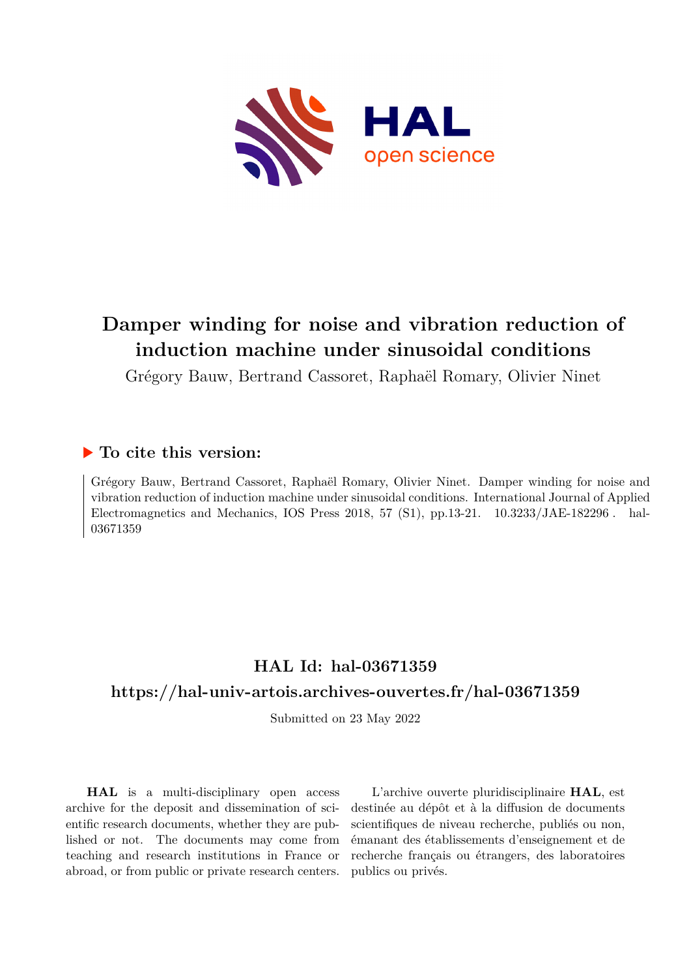

# **Damper winding for noise and vibration reduction of induction machine under sinusoidal conditions**

Grégory Bauw, Bertrand Cassoret, Raphaël Romary, Olivier Ninet

## **To cite this version:**

Grégory Bauw, Bertrand Cassoret, Raphaël Romary, Olivier Ninet. Damper winding for noise and vibration reduction of induction machine under sinusoidal conditions. International Journal of Applied Electromagnetics and Mechanics, IOS Press 2018, 57 (S1), pp.13-21.  $10.3233/JAE-182296$ . hal-03671359

# **HAL Id: hal-03671359**

## **<https://hal-univ-artois.archives-ouvertes.fr/hal-03671359>**

Submitted on 23 May 2022

**HAL** is a multi-disciplinary open access archive for the deposit and dissemination of scientific research documents, whether they are published or not. The documents may come from teaching and research institutions in France or abroad, or from public or private research centers.

L'archive ouverte pluridisciplinaire **HAL**, est destinée au dépôt et à la diffusion de documents scientifiques de niveau recherche, publiés ou non, émanant des établissements d'enseignement et de recherche français ou étrangers, des laboratoires publics ou privés.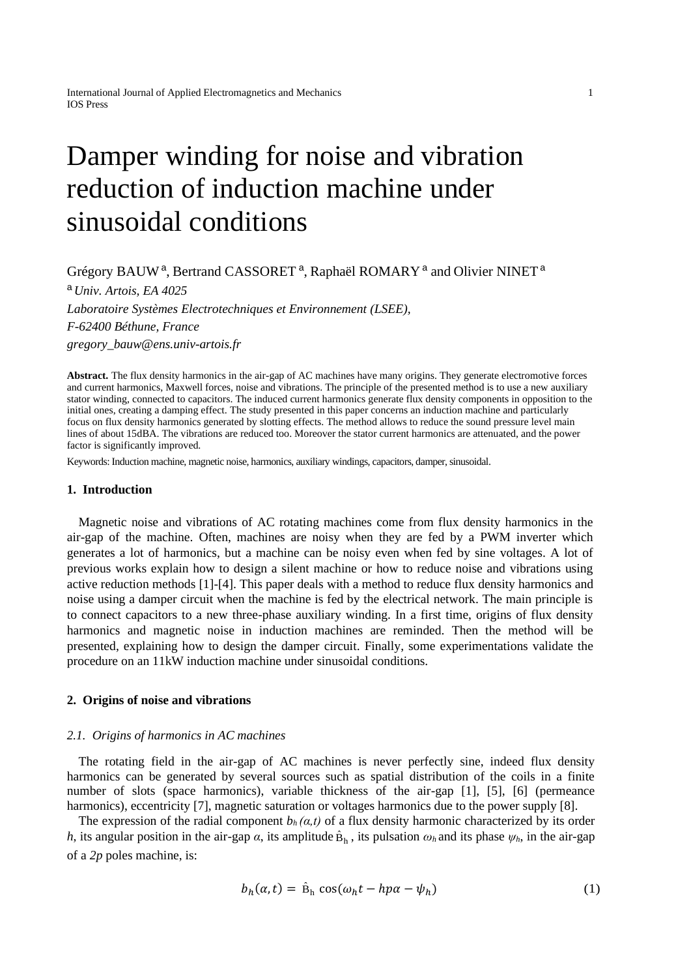# Damper winding for noise and vibration reduction of induction machine under sinusoidal conditions

### Grégory BAUW<sup>a</sup>, Bertrand CASSORET<sup>a</sup>, Raphaël ROMARY<sup>a</sup> and Olivier NINET<sup>a</sup>

<sup>a</sup> *Univ. Artois, EA 4025 Laboratoire Systèmes Electrotechniques et Environnement (LSEE), F-62400 Béthune, France gregory\_bauw@ens.univ-artois.fr*

**Abstract.** The flux density harmonics in the air-gap of AC machines have many origins. They generate electromotive forces and current harmonics, Maxwell forces, noise and vibrations. The principle of the presented method is to use a new auxiliary stator winding, connected to capacitors. The induced current harmonics generate flux density components in opposition to the initial ones, creating a damping effect. The study presented in this paper concerns an induction machine and particularly focus on flux density harmonics generated by slotting effects. The method allows to reduce the sound pressure level main lines of about 15dBA. The vibrations are reduced too. Moreover the stator current harmonics are attenuated, and the power factor is significantly improved.

Keywords: Induction machine, magnetic noise, harmonics, auxiliary windings, capacitors, damper, sinusoidal.

#### **1. Introduction**

Magnetic noise and vibrations of AC rotating machines come from flux density harmonics in the air-gap of the machine. Often, machines are noisy when they are fed by a PWM inverter which generates a lot of harmonics, but a machine can be noisy even when fed by sine voltages. A lot of previous works explain how to design a silent machine or how to reduce noise and vibrations using active reduction methods [1]-[4]. This paper deals with a method to reduce flux density harmonics and noise using a damper circuit when the machine is fed by the electrical network. The main principle is to connect capacitors to a new three-phase auxiliary winding. In a first time, origins of flux density harmonics and magnetic noise in induction machines are reminded. Then the method will be presented, explaining how to design the damper circuit. Finally, some experimentations validate the procedure on an 11kW induction machine under sinusoidal conditions.

#### **2. Origins of noise and vibrations**

#### *2.1. Origins of harmonics in AC machines*

The rotating field in the air-gap of AC machines is never perfectly sine, indeed flux density harmonics can be generated by several sources such as spatial distribution of the coils in a finite number of slots (space harmonics), variable thickness of the air-gap [1], [5], [6] (permeance harmonics), eccentricity [7], magnetic saturation or voltages harmonics due to the power supply [8].

The expression of the radial component  $b_h(\alpha, t)$  of a flux density harmonic characterized by its order *h*, its angular position in the air-gap  $\alpha$ , its amplitude  $\hat{B}_h$ , its pulsation  $\omega_h$  and its phase  $\psi_h$ , in the air-gap of a *2p* poles machine, is:

$$
b_h(\alpha, t) = \hat{\mathbf{B}}_h \cos(\omega_h t - h p \alpha - \psi_h)
$$
 (1)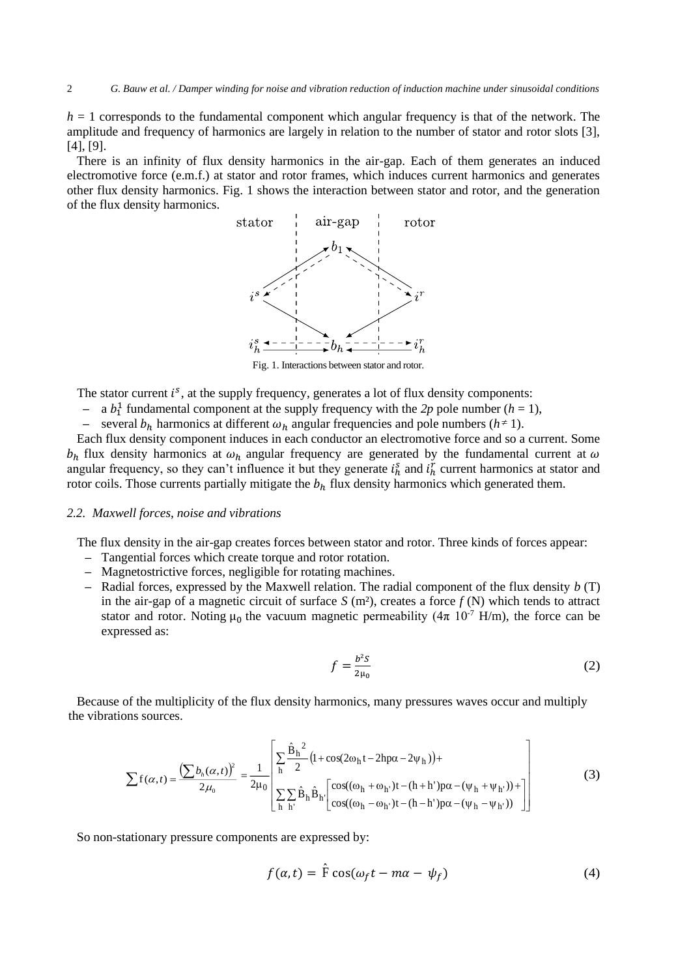$h = 1$  corresponds to the fundamental component which angular frequency is that of the network. The amplitude and frequency of harmonics are largely in relation to the number of stator and rotor slots [3], [4], [9].

There is an infinity of flux density harmonics in the air-gap. Each of them generates an induced electromotive force (e.m.f.) at stator and rotor frames, which induces current harmonics and generates other flux density harmonics. Fig. 1 shows the interaction between stator and rotor, and the generation of the flux density harmonics.



The stator current  $i^s$ , at the supply frequency, generates a lot of flux density components:

- $-$  a  $b_1^1$  fundamental component at the supply frequency with the 2p pole number ( $h = 1$ ),
- **–** several  $b_h$  harmonics at different  $\omega_h$  angular frequencies and pole numbers  $(h \neq 1)$ .

Each flux density component induces in each conductor an electromotive force and so a current. Some  $b_h$  flux density harmonics at  $\omega_h$  angular frequency are generated by the fundamental current at  $\omega$ angular frequency, so they can't influence it but they generate  $i_h^s$  and  $i_h^r$  current harmonics at stator and rotor coils. Those currents partially mitigate the  $b<sub>h</sub>$  flux density harmonics which generated them.

#### *2.2. Maxwell forces, noise and vibrations*

The flux density in the air-gap creates forces between stator and rotor. Three kinds of forces appear:

- **–** Tangential forces which create torque and rotor rotation.
- **–** Magnetostrictive forces, negligible for rotating machines.
- **–** Radial forces, expressed by the Maxwell relation. The radial component of the flux density *b* (T) in the air-gap of a magnetic circuit of surface  $S(m^2)$ , creates a force  $f(N)$  which tends to attract stator and rotor. Noting  $\mu_0$  the vacuum magnetic permeability ( $4\pi$  10<sup>-7</sup> H/m), the force can be expressed as:

$$
f = \frac{b^2 S}{2\mu_0} \tag{2}
$$

Because of the multiplicity of the flux density harmonics, many pressures waves occur and multiply the vibrations sources.

$$
\sum f(\alpha, t) = \frac{\left(\sum b_h(\alpha, t)\right)^2}{2\mu_0} = \frac{1}{2\mu_0} \left[ \sum_{h} \frac{\hat{B}_h^2}{2} \left(1 + \cos(2\omega_h t - 2h p\alpha - 2\psi_h)\right) + \sum_{h} \sum_{h'} \hat{B}_h \hat{B}_h \left[ \frac{\cos((\omega_h + \omega_h \cdot)t - (h + h')p\alpha - (\psi_h + \psi_h \cdot))}{\cos((\omega_h - \omega_h \cdot)t - (h - h')p\alpha - (\psi_h - \psi_h \cdot))}\right] \right]
$$
(3)

So non-stationary pressure components are expressed by:

$$
f(\alpha, t) = \hat{F} \cos(\omega_f t - m\alpha - \psi_f)
$$
 (4)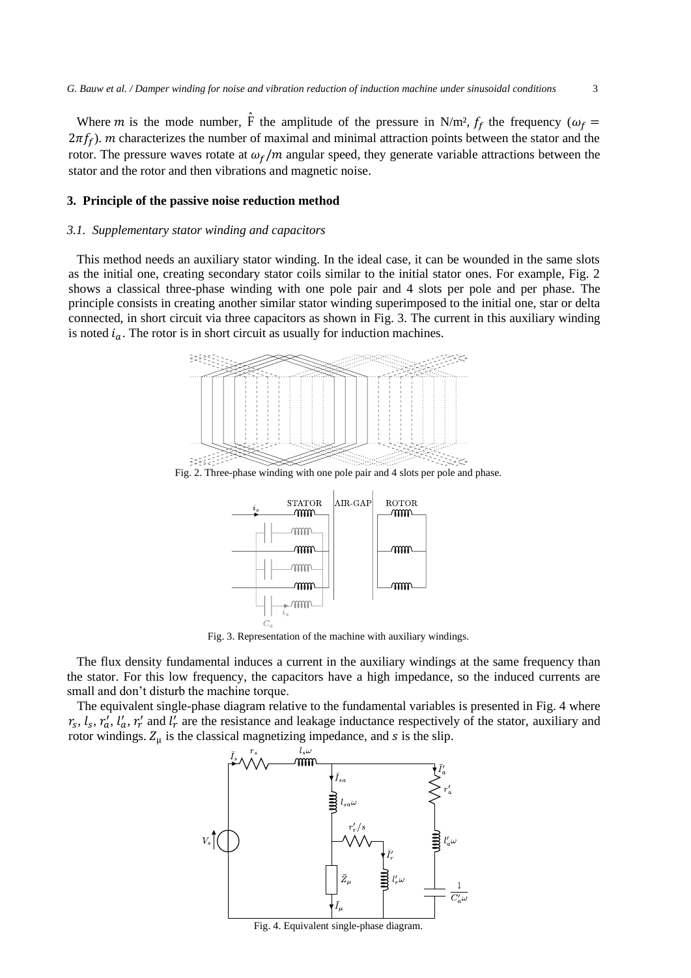Where m is the mode number,  $\hat{F}$  the amplitude of the pressure in N/m<sup>2</sup>,  $f_f$  the frequency ( $\omega_f$  =  $2\pi f_f$ ). *m* characterizes the number of maximal and minimal attraction points between the stator and the rotor. The pressure waves rotate at  $\omega_f/m$  angular speed, they generate variable attractions between the stator and the rotor and then vibrations and magnetic noise.

#### **3. Principle of the passive noise reduction method**

#### *3.1. Supplementary stator winding and capacitors*

This method needs an auxiliary stator winding. In the ideal case, it can be wounded in the same slots as the initial one, creating secondary stator coils similar to the initial stator ones. For example, Fig. 2 shows a classical three-phase winding with one pole pair and 4 slots per pole and per phase. The principle consists in creating another similar stator winding superimposed to the initial one, star or delta connected, in short circuit via three capacitors as shown in Fig. 3. The current in this auxiliary winding is noted  $i_a$ . The rotor is in short circuit as usually for induction machines.



Fig. 2. Three-phase winding with one pole pair and 4 slots per pole and phase.



Fig. 3. Representation of the machine with auxiliary windings.

The flux density fundamental induces a current in the auxiliary windings at the same frequency than the stator. For this low frequency, the capacitors have a high impedance, so the induced currents are small and don't disturb the machine torque.

The equivalent single-phase diagram relative to the fundamental variables is presented in Fig. 4 where  $r_s$ ,  $l_s$ ,  $r'_a$ ,  $l'_a$ ,  $r'_r$  and  $l'_r$  are the resistance and leakage inductance respectively of the stator, auxiliary and rotor windings.  $Z_{\mu}$  is the classical magnetizing impedance, and s is the slip.



Fig. 4. Equivalent single-phase diagram.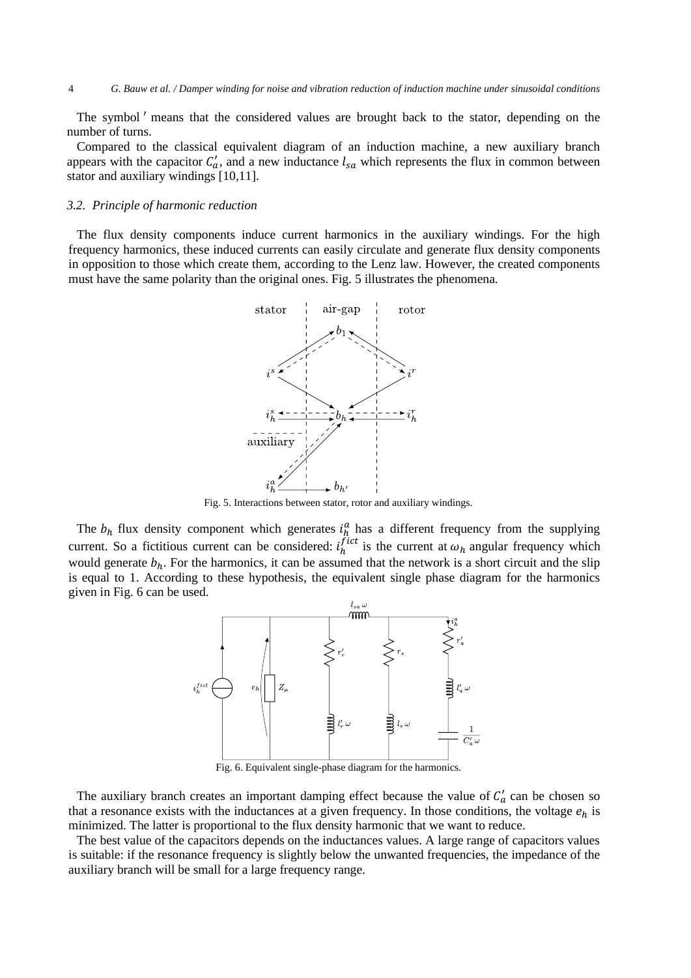The symbol ′ means that the considered values are brought back to the stator, depending on the number of turns.

Compared to the classical equivalent diagram of an induction machine, a new auxiliary branch appears with the capacitor  $C'_a$ , and a new inductance  $l_{sa}$  which represents the flux in common between stator and auxiliary windings [10,11].

#### *3.2. Principle of harmonic reduction*

The flux density components induce current harmonics in the auxiliary windings. For the high frequency harmonics, these induced currents can easily circulate and generate flux density components in opposition to those which create them, according to the Lenz law. However, the created components must have the same polarity than the original ones. Fig. 5 illustrates the phenomena.



Fig. 5. Interactions between stator, rotor and auxiliary windings.

The  $b_h$  flux density component which generates  $i_h^a$  has a different frequency from the supplying current. So a fictitious current can be considered:  $i_h^{fict}$  is the current at  $\omega_h$  angular frequency which would generate  $b_h$ . For the harmonics, it can be assumed that the network is a short circuit and the slip is equal to 1. According to these hypothesis, the equivalent single phase diagram for the harmonics given in Fig. 6 can be used.



Fig. 6. Equivalent single-phase diagram for the harmonics.

The auxiliary branch creates an important damping effect because the value of  $C'_a$  can be chosen so that a resonance exists with the inductances at a given frequency. In those conditions, the voltage  $e_h$  is minimized. The latter is proportional to the flux density harmonic that we want to reduce.

The best value of the capacitors depends on the inductances values. A large range of capacitors values is suitable: if the resonance frequency is slightly below the unwanted frequencies, the impedance of the auxiliary branch will be small for a large frequency range.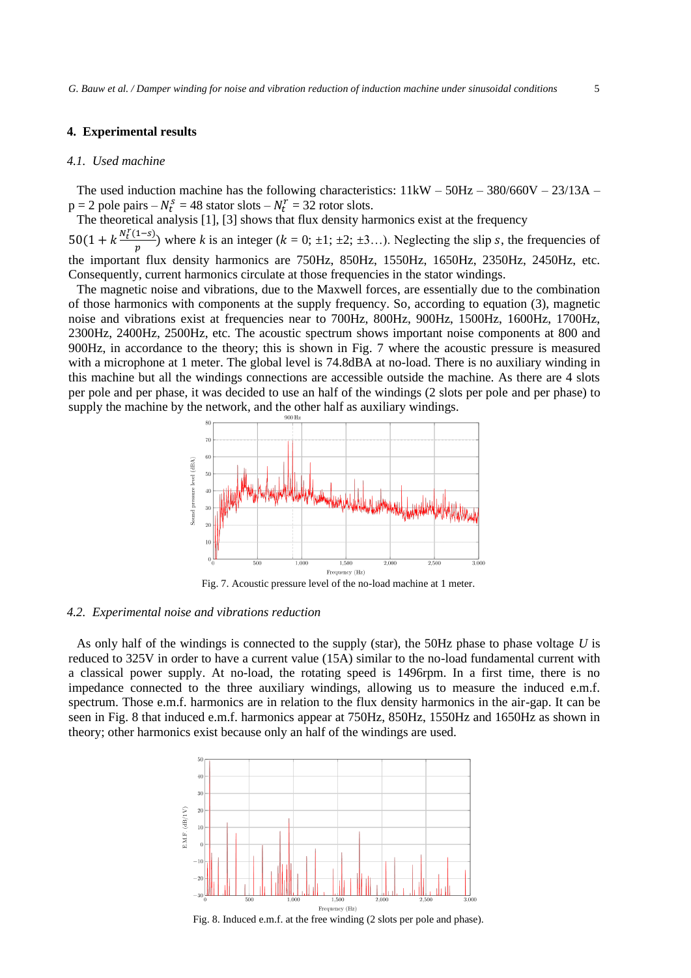#### **4. Experimental results**

#### *4.1. Used machine*

The used induction machine has the following characteristics:  $11\text{kW} - 50\text{Hz} - 380/660\text{V} - 23/13\text{A} - 16/13\text{A}$  $p = 2$  pole pairs  $-N_t^s = 48$  stator slots  $-N_t^r = 32$  rotor slots.

The theoretical analysis [1], [3] shows that flux density harmonics exist at the frequency

 $50(1 + k \frac{N_t^r(1-s)}{n})$ <sup>1</sup>/<sub>p</sub>) where *k* is an integer ( $k = 0; \pm 1; \pm 2; \pm 3...$ ). Neglecting the slip *s*, the frequencies of the important flux density harmonics are 750Hz, 850Hz, 1550Hz, 1650Hz, 2350Hz, 2450Hz, etc. Consequently, current harmonics circulate at those frequencies in the stator windings.

The magnetic noise and vibrations, due to the Maxwell forces, are essentially due to the combination of those harmonics with components at the supply frequency. So, according to equation (3), magnetic noise and vibrations exist at frequencies near to 700Hz, 800Hz, 900Hz, 1500Hz, 1600Hz, 1700Hz, 2300Hz, 2400Hz, 2500Hz, etc. The acoustic spectrum shows important noise components at 800 and 900Hz, in accordance to the theory; this is shown in Fig. 7 where the acoustic pressure is measured with a microphone at 1 meter. The global level is 74.8dBA at no-load. There is no auxiliary winding in this machine but all the windings connections are accessible outside the machine. As there are 4 slots per pole and per phase, it was decided to use an half of the windings (2 slots per pole and per phase) to supply the machine by the network, and the other half as auxiliary windings.



Fig. 7. Acoustic pressure level of the no-load machine at 1 meter.

#### *4.2. Experimental noise and vibrations reduction*

As only half of the windings is connected to the supply (star), the 50Hz phase to phase voltage *U* is reduced to 325V in order to have a current value (15A) similar to the no-load fundamental current with a classical power supply. At no-load, the rotating speed is 1496rpm. In a first time, there is no impedance connected to the three auxiliary windings, allowing us to measure the induced e.m.f. spectrum. Those e.m.f. harmonics are in relation to the flux density harmonics in the air-gap. It can be seen in Fig. 8 that induced e.m.f. harmonics appear at 750Hz, 850Hz, 1550Hz and 1650Hz as shown in theory; other harmonics exist because only an half of the windings are used.



Fig. 8. Induced e.m.f. at the free winding (2 slots per pole and phase).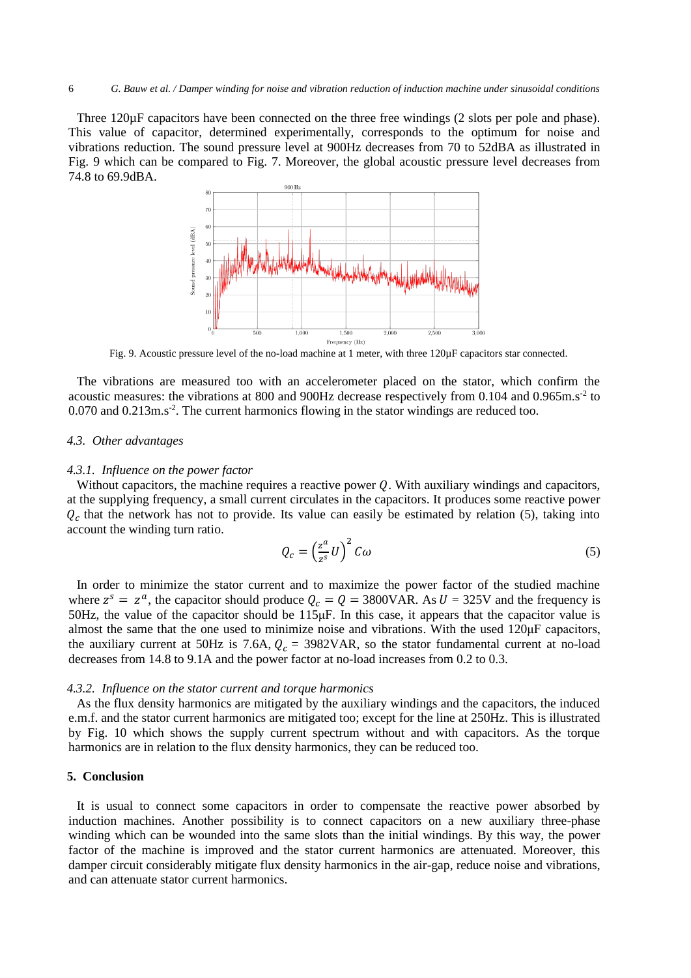Three 120 $\mu$ F capacitors have been connected on the three free windings (2 slots per pole and phase). This value of capacitor, determined experimentally, corresponds to the optimum for noise and vibrations reduction. The sound pressure level at 900Hz decreases from 70 to 52dBA as illustrated in Fig. 9 which can be compared to Fig. 7. Moreover, the global acoustic pressure level decreases from 74.8 to 69.9dBA.



Fig. 9. Acoustic pressure level of the no-load machine at 1 meter, with three 120µF capacitors star connected.

The vibrations are measured too with an accelerometer placed on the stator, which confirm the acoustic measures: the vibrations at 800 and 900Hz decrease respectively from 0.104 and 0.965m.s<sup>-2</sup> to 0.070 and 0.213m.s<sup>-2</sup>. The current harmonics flowing in the stator windings are reduced too.

#### *4.3. Other advantages*

#### *4.3.1. Influence on the power factor*

Without capacitors, the machine requires a reactive power  $Q$ . With auxiliary windings and capacitors, at the supplying frequency, a small current circulates in the capacitors. It produces some reactive power  $Q_c$  that the network has not to provide. Its value can easily be estimated by relation (5), taking into account the winding turn ratio.

$$
Q_c = \left(\frac{z^a}{z^s} U\right)^2 C\omega
$$
 (5)

In order to minimize the stator current and to maximize the power factor of the studied machine where  $z^s = z^a$ , the capacitor should produce  $Q_c = Q = 3800 \text{VAR}$ . As  $U = 325 \text{V}$  and the frequency is 50Hz, the value of the capacitor should be 115μF. In this case, it appears that the capacitor value is almost the same that the one used to minimize noise and vibrations. With the used 120μF capacitors, the auxiliary current at 50Hz is 7.6A,  $Q_c = 3982 \text{VAR}$ , so the stator fundamental current at no-load decreases from 14.8 to 9.1A and the power factor at no-load increases from 0.2 to 0.3.

#### *4.3.2. Influence on the stator current and torque harmonics*

As the flux density harmonics are mitigated by the auxiliary windings and the capacitors, the induced e.m.f. and the stator current harmonics are mitigated too; except for the line at 250Hz. This is illustrated by Fig. 10 which shows the supply current spectrum without and with capacitors. As the torque harmonics are in relation to the flux density harmonics, they can be reduced too.

#### **5. Conclusion**

It is usual to connect some capacitors in order to compensate the reactive power absorbed by induction machines. Another possibility is to connect capacitors on a new auxiliary three-phase winding which can be wounded into the same slots than the initial windings. By this way, the power factor of the machine is improved and the stator current harmonics are attenuated. Moreover, this damper circuit considerably mitigate flux density harmonics in the air-gap, reduce noise and vibrations, and can attenuate stator current harmonics.